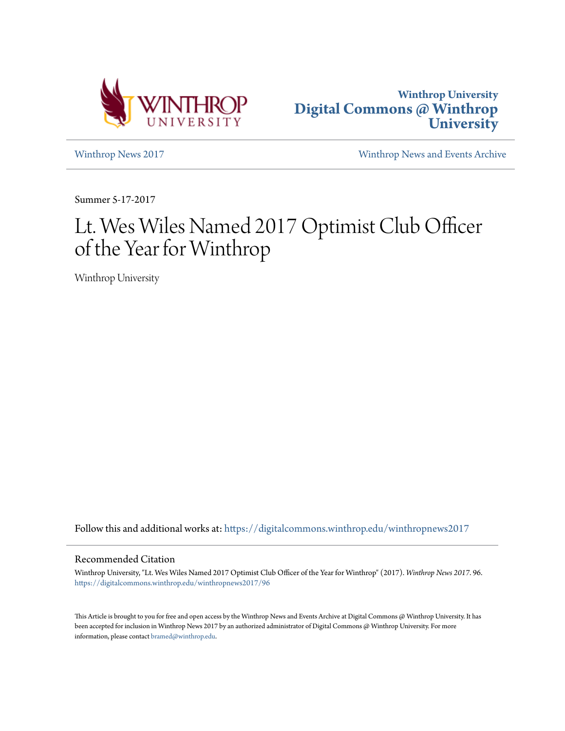



[Winthrop News 2017](https://digitalcommons.winthrop.edu/winthropnews2017?utm_source=digitalcommons.winthrop.edu%2Fwinthropnews2017%2F96&utm_medium=PDF&utm_campaign=PDFCoverPages) [Winthrop News and Events Archive](https://digitalcommons.winthrop.edu/winthropnewsarchives?utm_source=digitalcommons.winthrop.edu%2Fwinthropnews2017%2F96&utm_medium=PDF&utm_campaign=PDFCoverPages)

Summer 5-17-2017

## Lt. Wes Wiles Named 2017 Optimist Club Officer of the Year for Winthrop

Winthrop University

Follow this and additional works at: [https://digitalcommons.winthrop.edu/winthropnews2017](https://digitalcommons.winthrop.edu/winthropnews2017?utm_source=digitalcommons.winthrop.edu%2Fwinthropnews2017%2F96&utm_medium=PDF&utm_campaign=PDFCoverPages)

## Recommended Citation

Winthrop University, "Lt. Wes Wiles Named 2017 Optimist Club Officer of the Year for Winthrop" (2017). *Winthrop News 2017*. 96. [https://digitalcommons.winthrop.edu/winthropnews2017/96](https://digitalcommons.winthrop.edu/winthropnews2017/96?utm_source=digitalcommons.winthrop.edu%2Fwinthropnews2017%2F96&utm_medium=PDF&utm_campaign=PDFCoverPages)

This Article is brought to you for free and open access by the Winthrop News and Events Archive at Digital Commons @ Winthrop University. It has been accepted for inclusion in Winthrop News 2017 by an authorized administrator of Digital Commons @ Winthrop University. For more information, please contact [bramed@winthrop.edu](mailto:bramed@winthrop.edu).